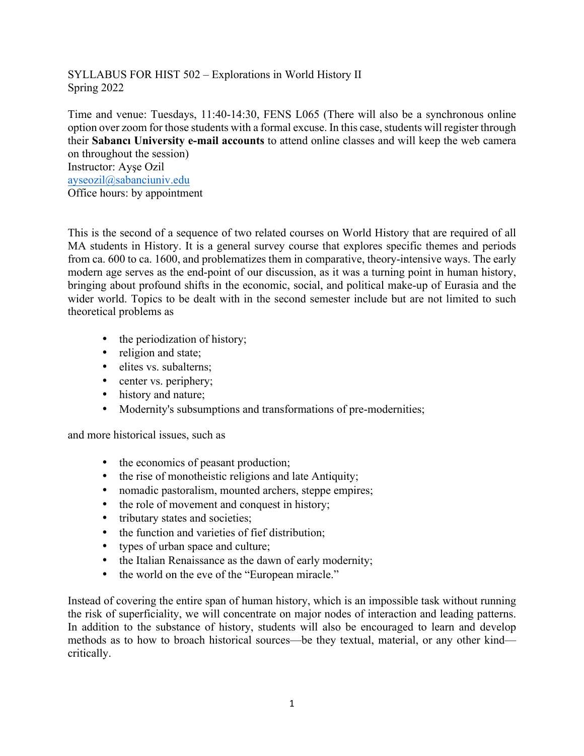SYLLABUS FOR HIST 502 – Explorations in World History II Spring 2022

Time and venue: Tuesdays, 11:40-14:30, FENS L065 (There will also be a synchronous online option over zoom for those students with a formal excuse. In this case, students will register through their **Sabancı University e-mail accounts** to attend online classes and will keep the web camera on throughout the session)

Instructor: Ayşe Ozil ayseozil@sabanciuniv.edu Office hours: by appointment

This is the second of a sequence of two related courses on World History that are required of all MA students in History. It is a general survey course that explores specific themes and periods from ca. 600 to ca. 1600, and problematizes them in comparative, theory-intensive ways. The early modern age serves as the end-point of our discussion, as it was a turning point in human history, bringing about profound shifts in the economic, social, and political make-up of Eurasia and the wider world. Topics to be dealt with in the second semester include but are not limited to such theoretical problems as

- the periodization of history;
- religion and state;
- elites vs. subalterns:
- center vs. periphery;
- history and nature;
- Modernity's subsumptions and transformations of pre-modernities;

and more historical issues, such as

- the economics of peasant production;
- the rise of monotheistic religions and late Antiquity;
- nomadic pastoralism, mounted archers, steppe empires;
- the role of movement and conquest in history;
- tributary states and societies;
- the function and varieties of fief distribution;
- types of urban space and culture;
- the Italian Renaissance as the dawn of early modernity;
- the world on the eve of the "European miracle."

Instead of covering the entire span of human history, which is an impossible task without running the risk of superficiality, we will concentrate on major nodes of interaction and leading patterns. In addition to the substance of history, students will also be encouraged to learn and develop methods as to how to broach historical sources—be they textual, material, or any other kind critically.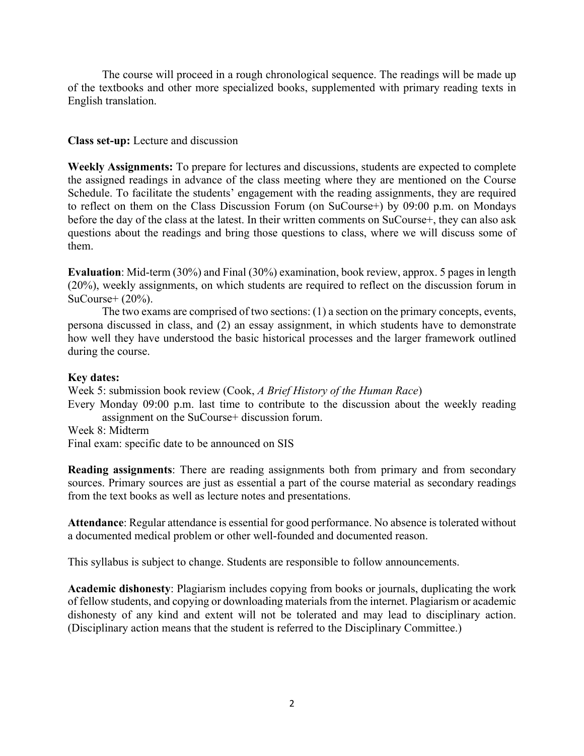The course will proceed in a rough chronological sequence. The readings will be made up of the textbooks and other more specialized books, supplemented with primary reading texts in English translation.

## **Class set-up:** Lecture and discussion

**Weekly Assignments:** To prepare for lectures and discussions, students are expected to complete the assigned readings in advance of the class meeting where they are mentioned on the Course Schedule. To facilitate the students' engagement with the reading assignments, they are required to reflect on them on the Class Discussion Forum (on SuCourse+) by 09:00 p.m. on Mondays before the day of the class at the latest. In their written comments on SuCourse+, they can also ask questions about the readings and bring those questions to class, where we will discuss some of them.

**Evaluation**: Mid-term (30%) and Final (30%) examination, book review, approx. 5 pages in length (20%), weekly assignments, on which students are required to reflect on the discussion forum in  $SuCourse+ (20\%).$ 

The two exams are comprised of two sections: (1) a section on the primary concepts, events, persona discussed in class, and (2) an essay assignment, in which students have to demonstrate how well they have understood the basic historical processes and the larger framework outlined during the course.

#### **Key dates:**

Week 5: submission book review (Cook, *A Brief History of the Human Race*) Every Monday 09:00 p.m. last time to contribute to the discussion about the weekly reading assignment on the SuCourse+ discussion forum. Week 8: Midterm Final exam: specific date to be announced on SIS

**Reading assignments**: There are reading assignments both from primary and from secondary sources. Primary sources are just as essential a part of the course material as secondary readings from the text books as well as lecture notes and presentations.

**Attendance**: Regular attendance is essential for good performance. No absence is tolerated without a documented medical problem or other well-founded and documented reason.

This syllabus is subject to change. Students are responsible to follow announcements.

**Academic dishonesty**: Plagiarism includes copying from books or journals, duplicating the work of fellow students, and copying or downloading materials from the internet. Plagiarism or academic dishonesty of any kind and extent will not be tolerated and may lead to disciplinary action. (Disciplinary action means that the student is referred to the Disciplinary Committee.)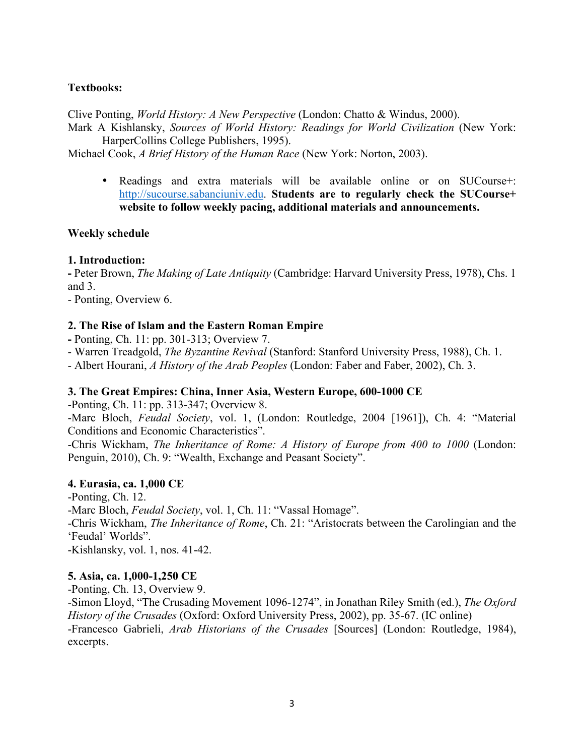# **Textbooks:**

Clive Ponting, *World History: A New Perspective* (London: Chatto & Windus, 2000).

Mark A Kishlansky, *Sources of World History: Readings for World Civilization* (New York: HarperCollins College Publishers, 1995).

Michael Cook, *A Brief History of the Human Race* (New York: Norton, 2003).

• Readings and extra materials will be available online or on SUCourse+: http://sucourse.sabanciuniv.edu. **Students are to regularly check the SUCourse+ website to follow weekly pacing, additional materials and announcements.**

#### **Weekly schedule**

### **1. Introduction:**

**-** Peter Brown, *The Making of Late Antiquity* (Cambridge: Harvard University Press, 1978), Chs. 1 and 3.

- Ponting, Overview 6.

### **2. The Rise of Islam and the Eastern Roman Empire**

**-** Ponting, Ch. 11: pp. 301-313; Overview 7.

- Warren Treadgold, *The Byzantine Revival* (Stanford: Stanford University Press, 1988), Ch. 1.

- Albert Hourani, *A History of the Arab Peoples* (London: Faber and Faber, 2002), Ch. 3.

#### **3. The Great Empires: China, Inner Asia, Western Europe, 600-1000 CE**

-Ponting, Ch. 11: pp. 313-347; Overview 8.

-Marc Bloch, *Feudal Society*, vol. 1, (London: Routledge, 2004 [1961]), Ch. 4: "Material Conditions and Economic Characteristics".

-Chris Wickham, *The Inheritance of Rome: A History of Europe from 400 to 1000* (London: Penguin, 2010), Ch. 9: "Wealth, Exchange and Peasant Society".

#### **4. Eurasia, ca. 1,000 CE**

-Ponting, Ch. 12. -Marc Bloch, *Feudal Society*, vol. 1, Ch. 11: "Vassal Homage". -Chris Wickham, *The Inheritance of Rome*, Ch. 21: "Aristocrats between the Carolingian and the 'Feudal' Worlds". -Kishlansky, vol. 1, nos. 41-42.

#### **5. Asia, ca. 1,000-1,250 CE**

-Ponting, Ch. 13, Overview 9.

-Simon Lloyd, "The Crusading Movement 1096-1274", in Jonathan Riley Smith (ed.), *The Oxford History of the Crusades* (Oxford: Oxford University Press, 2002), pp. 35-67. (IC online) -Francesco Gabrieli, *Arab Historians of the Crusades* [Sources] (London: Routledge, 1984), excerpts.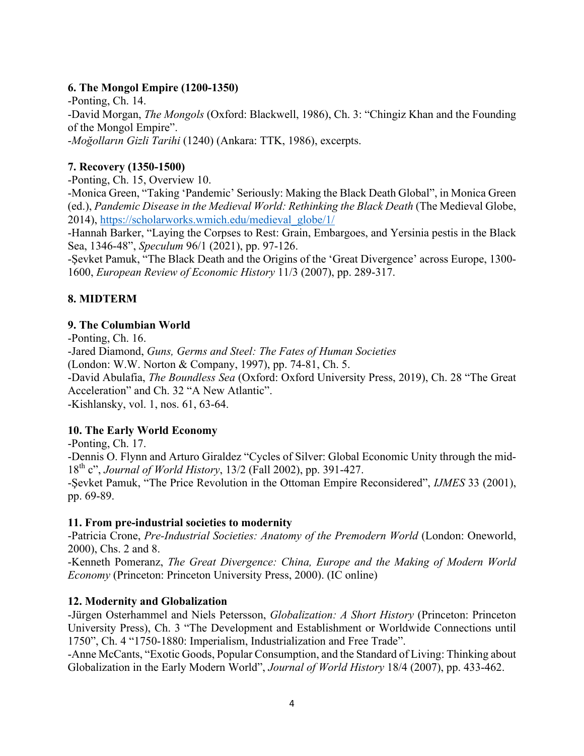# **6. The Mongol Empire (1200-1350)**

-Ponting, Ch. 14. -David Morgan, *The Mongols* (Oxford: Blackwell, 1986), Ch. 3: "Chingiz Khan and the Founding of the Mongol Empire". -*Moğolların Gizli Tarihi* (1240) (Ankara: TTK, 1986), excerpts.

# **7. Recovery (1350-1500)**

-Ponting, Ch. 15, Overview 10.

-Monica Green, "Taking 'Pandemic' Seriously: Making the Black Death Global", in Monica Green (ed.), *Pandemic Disease in the Medieval World: Rethinking the Black Death* (The Medieval Globe, 2014), https://scholarworks.wmich.edu/medieval\_globe/1/

-Hannah Barker, "Laying the Corpses to Rest: Grain, Embargoes, and Yersinia pestis in the Black Sea, 1346-48", *Speculum* 96/1 (2021), pp. 97-126.

-Şevket Pamuk, "The Black Death and the Origins of the 'Great Divergence' across Europe, 1300- 1600, *European Review of Economic History* 11/3 (2007), pp. 289-317.

# **8. MIDTERM**

### **9. The Columbian World**

-Ponting, Ch. 16.

-Jared Diamond, *Guns, Germs and Steel: The Fates of Human Societies*

(London: W.W. Norton & Company, 1997), pp. 74-81, Ch. 5.

-David Abulafia, *The Boundless Sea* (Oxford: Oxford University Press, 2019), Ch. 28 "The Great Acceleration" and Ch. 32 "A New Atlantic".

-Kishlansky, vol. 1, nos. 61, 63-64.

# **10. The Early World Economy**

-Ponting, Ch. 17.

-Dennis O. Flynn and Arturo Giraldez "Cycles of Silver: Global Economic Unity through the mid-18th c", *Journal of World History*, 13/2 (Fall 2002), pp. 391-427.

-Şevket Pamuk, "The Price Revolution in the Ottoman Empire Reconsidered", *IJMES* 33 (2001), pp. 69-89.

# **11. From pre-industrial societies to modernity**

-Patricia Crone, *Pre-Industrial Societies: Anatomy of the Premodern World* (London: Oneworld, 2000), Chs. 2 and 8.

-Kenneth Pomeranz, *The Great Divergence: China, Europe and the Making of Modern World Economy* (Princeton: Princeton University Press, 2000). (IC online)

# **12. Modernity and Globalization**

-Jürgen Osterhammel and Niels Petersson, *Globalization: A Short History* (Princeton: Princeton University Press), Ch. 3 "The Development and Establishment or Worldwide Connections until 1750", Ch. 4 "1750-1880: Imperialism, Industrialization and Free Trade".

-Anne McCants, "Exotic Goods, Popular Consumption, and the Standard of Living: Thinking about Globalization in the Early Modern World", *Journal of World History* 18/4 (2007), pp. 433-462.